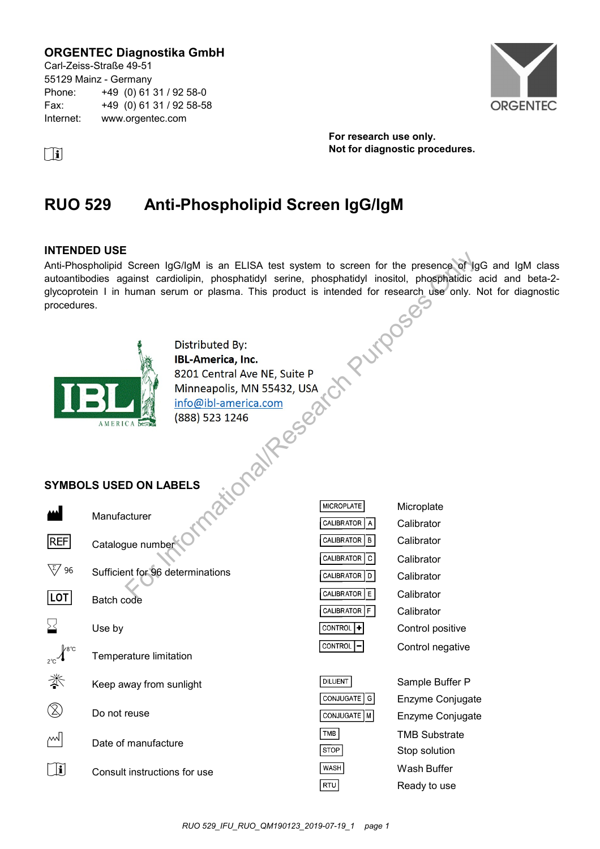# **ORGENTEC Diagnostika GmbH**

Carl-Zeiss-Straße 49-51 55129 Mainz - Germany Phone: +49 (0) 61 31 / 92 58-0 Fax: +49 (0) 61 31 / 92 58-58 Internet: www.orgentec.com



**For research use only. i Not for diagnostic procedures.** 

# **RUO 529 Anti-Phospholipid Screen IgG/IgM**

### **INTENDED USE**

Anti-Phospholipid Screen IgG/IgM is an ELISA test system to screen for the presence of IgG and IgM class autoantibodies against cardiolipin, phosphatidyl serine, phosphatidyl inositol, phosphatidic acid and beta-2 glycoprotein I in human serum or plasma. This product is intended for research use only. Not for diagnostic procedures.<br>
Distributed By:<br> **BL-America, Inc.**<br>
8201 Central Ave NT procedures.



Distributed By:<br>
IBL-America, Inc.<br>
8201 Central Ave NE, Suite P<br>
Minneapolis, MN 55432, USA<br>
<u>info@ibl-america.com</u><br>
(888) 523 1246<br>
<br> **BELS**<br>
<br>
PRELS<br>
PRELS

# **SYMBOLS USED ON LABELS**

|            | Manufacturer                     |
|------------|----------------------------------|
| <b>REF</b> | Catalogue number                 |
| 96         | Sufficient for 96 determinations |
| LOT        | Batch code                       |
| ゝく         | Use by                           |
|            | Temperature limitation           |
|            | Keep away from sunlight          |
|            | Do not reuse                     |
|            | Date of manufacture              |
|            | Consult instructions for use     |

| <b>MICROPLATE</b>          | Microplate       |
|----------------------------|------------------|
| CALIBRATOR<br>l Al         | Calibrator       |
| CALIBRATOR   B             | Calibrator       |
| CALIBRATOR   C             | Calibrator       |
| CALIBRATOR<br>DΙ           | Calibrator       |
| <b>CALIBRATOR</b><br>l E I | Calibrator       |
| CALIBRATOR                 | Calibrator       |
| <b>CONTROL</b>             | Control positive |
| CONTROL                    | Control negative |
|                            |                  |

| DILUENT       | S |
|---------------|---|
| CONJUGATE G   | E |
| CONJUGATE   M | E |
| TMB           | т |
| STOP          | S |
| WASH          | N |
| RTU           | ĸ |

Sample Buffer P Enzyme Conjugate Enzyme Conjugate **MB Substrate** top solution Wash Buffer eady to use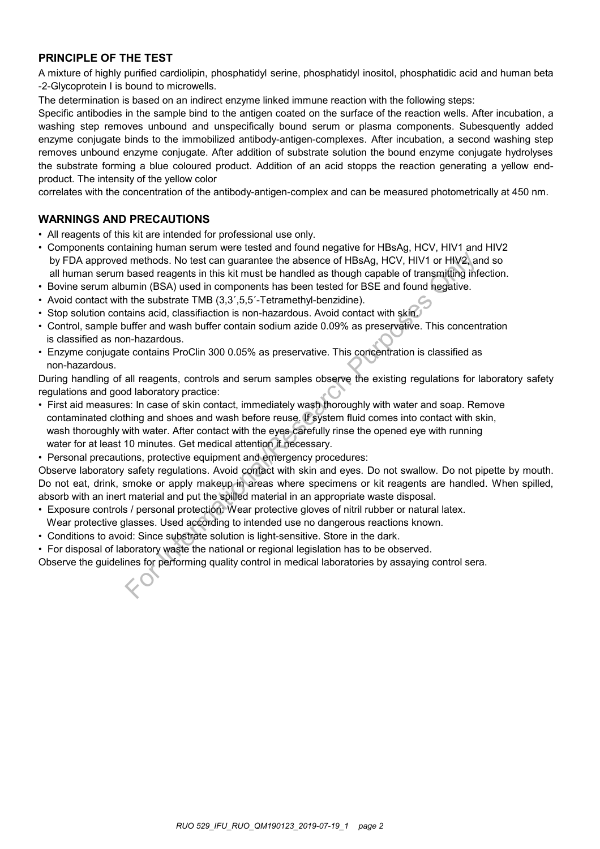# **PRINCIPLE OF THE TEST**

A mixture of highly purified cardiolipin, phosphatidyl serine, phosphatidyl inositol, phosphatidic acid and human beta -2-Glycoprotein I is bound to microwells.

The determination is based on an indirect enzyme linked immune reaction with the following steps:

Specific antibodies in the sample bind to the antigen coated on the surface of the reaction wells. After incubation, a washing step removes unbound and unspecifically bound serum or plasma components. Subesquently added enzyme conjugate binds to the immobilized antibody-antigen-complexes. After incubation, a second washing step removes unbound enzyme conjugate. After addition of substrate solution the bound enzyme conjugate hydrolyses the substrate forming a blue coloured product. Addition of an acid stopps the reaction generating a yellow endproduct. The intensity of the yellow color

correlates with the concentration of the antibody-antigen-complex and can be measured photometrically at 450 nm.

# **WARNINGS AND PRECAUTIONS**

- All reagents of this kit are intended for professional use only.
- Components containing human serum were tested and found negative for HBsAg, HCV, HIV1 and HIV2 by FDA approved methods. No test can guarantee the absence of HBsAg, HCV, HIV1 or HIV2, and so all human serum based reagents in this kit must be handled as though capable of transmitting infection.
- Bovine serum albumin (BSA) used in components has been tested for BSE and found negative.
- Avoid contact with the substrate TMB (3,3',5,5'-Tetramethyl-benzidine).
- Stop solution contains acid, classifiaction is non-hazardous. Avoid contact with skin.
- Control, sample buffer and wash buffer contain sodium azide 0.09% as preservative. This concentration is classified as non-hazardous.
- Enzyme conjugate contains ProClin 300 0.05% as preservative. This concentration is classified as non-hazardous.

During handling of all reagents, controls and serum samples observe the existing regulations for laboratory safety regulations and good laboratory practice:

- First aid measures: In case of skin contact, immediately wash thoroughly with water and soap. Remove contaminated clothing and shoes and wash before reuse. If system fluid comes into contact with skin, wash thoroughly with water. After contact with the eyes carefully rinse the opened eye with running water for at least 10 minutes. Get medical attention if necessary. If methods. No test can guarantee the absence of HBsAg, HCV, HIV1 or HIV2, and based reagents in this kit must be handled as though capable of transmitting information (BSA) used in components has been tested for BSE and f
- Personal precautions, protective equipment and emergency procedures:

Observe laboratory safety regulations. Avoid contact with skin and eyes. Do not swallow. Do not pipette by mouth. Do not eat, drink, smoke or apply makeup in areas where specimens or kit reagents are handled. When spilled, absorb with an inert material and put the spilled material in an appropriate waste disposal.

- Exposure controls / personal protection: Wear protective gloves of nitril rubber or natural latex.
- Wear protective glasses. Used according to intended use no dangerous reactions known.
- Conditions to avoid: Since substrate solution is light-sensitive. Store in the dark.
- For disposal of laboratory waste the national or regional legislation has to be observed.

Observe the guidelines for performing quality control in medical laboratories by assaying control sera.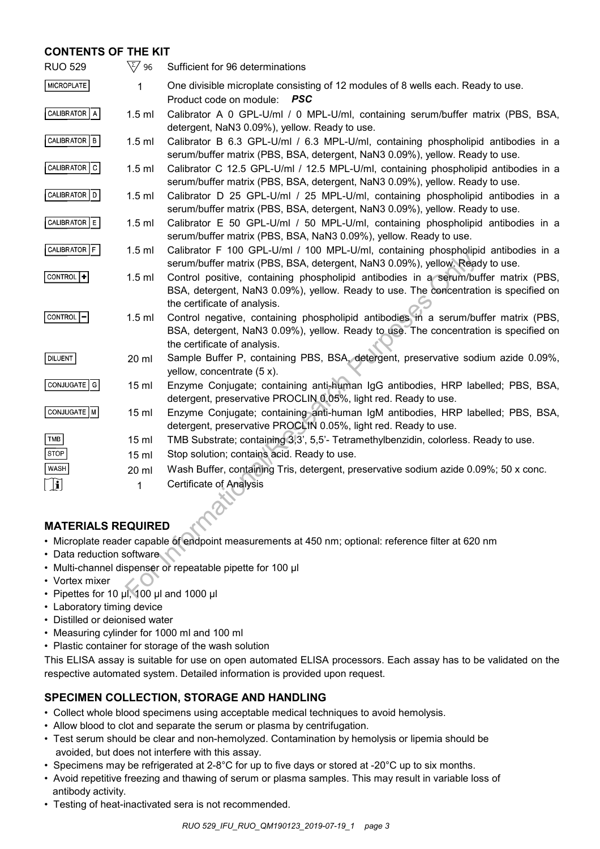# **CONTENTS OF THE KIT**

| <b>RUO 529</b>                                                                                       | $\sqrt{\xi/}$ 96 | Sufficient for 96 determinations                                                                                                                                                                            |  |
|------------------------------------------------------------------------------------------------------|------------------|-------------------------------------------------------------------------------------------------------------------------------------------------------------------------------------------------------------|--|
| MICROPLATE                                                                                           | 1                | One divisible microplate consisting of 12 modules of 8 wells each. Ready to use.<br>Product code on module: PSC                                                                                             |  |
| CALIBRATOR   A                                                                                       | $1.5$ ml         | Calibrator A 0 GPL-U/ml / 0 MPL-U/ml, containing serum/buffer matrix (PBS, BSA,<br>detergent, NaN3 0.09%), yellow. Ready to use.                                                                            |  |
| CALIBRATOR   B                                                                                       | $1.5$ ml         | Calibrator B 6.3 GPL-U/ml / 6.3 MPL-U/ml, containing phospholipid antibodies in a<br>serum/buffer matrix (PBS, BSA, detergent, NaN3 0.09%), yellow. Ready to use.                                           |  |
| CALIBRATOR C                                                                                         | $1.5$ ml         | Calibrator C 12.5 GPL-U/ml / 12.5 MPL-U/ml, containing phospholipid antibodies in a<br>serum/buffer matrix (PBS, BSA, detergent, NaN3 0.09%), yellow. Ready to use.                                         |  |
| CALIBRATOR D                                                                                         | $1.5$ ml         | Calibrator D 25 GPL-U/ml / 25 MPL-U/ml, containing phospholipid antibodies in a<br>serum/buffer matrix (PBS, BSA, detergent, NaN3 0.09%), yellow. Ready to use.                                             |  |
| CALIBRATOR E                                                                                         | $1.5$ ml         | Calibrator E 50 GPL-U/ml / 50 MPL-U/ml, containing phospholipid antibodies in a<br>serum/buffer matrix (PBS, BSA, NaN3 0.09%), yellow. Ready to use.                                                        |  |
| CALIBRATOR F                                                                                         | $1.5$ ml         | Calibrator F 100 GPL-U/ml / 100 MPL-U/ml, containing phospholipid antibodies in a<br>serum/buffer matrix (PBS, BSA, detergent, NaN3 0.09%), yellow. Ready to use.                                           |  |
| $ $ CONTROL $ + $                                                                                    | $1.5$ ml         | Control positive, containing phospholipid antibodies in a serum/buffer matrix (PBS,<br>BSA, detergent, NaN3 0.09%), yellow. Ready to use. The concentration is specified on<br>the certificate of analysis. |  |
| <b>CONTROL</b>                                                                                       | $1.5$ ml         | Control negative, containing phospholipid antibodies in a serum/buffer matrix (PBS,<br>BSA, detergent, NaN3 0.09%), yellow. Ready to use. The concentration is specified on<br>the certificate of analysis. |  |
| DILUENT                                                                                              | 20 ml            | Sample Buffer P, containing PBS, BSA, detergent, preservative sodium azide 0.09%,<br>yellow, concentrate (5 x).                                                                                             |  |
| CONJUGATE   G                                                                                        | 15 <sub>ml</sub> | Enzyme Conjugate; containing anti-human IgG antibodies, HRP labelled; PBS, BSA,<br>detergent, preservative PROCLIN 0.05%, light red. Ready to use.                                                          |  |
| CONJUGATE   M                                                                                        | 15 <sub>ml</sub> | Enzyme Conjugate; containing anti-human IgM antibodies, HRP labelled; PBS, BSA,<br>detergent, preservative PROCLIN 0.05%, light red. Ready to use.                                                          |  |
| TMB                                                                                                  | 15 <sub>ml</sub> | TMB Substrate; containing 3,3', 5,5'- Tetramethylbenzidin, colorless. Ready to use.                                                                                                                         |  |
| <b>STOP</b>                                                                                          | 15 <sub>ml</sub> | Stop solution; contains acid. Ready to use.                                                                                                                                                                 |  |
| WASH                                                                                                 | 20 ml            | Wash Buffer, containing Tris, detergent, preservative sodium azide 0.09%; 50 x conc.                                                                                                                        |  |
| <u>׀֖֡֘</u> ׀                                                                                        | 1                | <b>Certificate of Analysis</b>                                                                                                                                                                              |  |
|                                                                                                      |                  |                                                                                                                                                                                                             |  |
| <b>MATERIALS REQUIRED</b>                                                                            |                  |                                                                                                                                                                                                             |  |
| . Microplate reader capable of endpoint measurements at 450 nm; optional: reference filter at 620 nm |                  |                                                                                                                                                                                                             |  |
| • Data reduction software                                                                            |                  |                                                                                                                                                                                                             |  |
| • Multi-channel dispenser or repeatable pipette for 100 µl                                           |                  |                                                                                                                                                                                                             |  |
| • Vortex mixer<br>• Pipettes for 10 µl, 100 µl and 1000 µl                                           |                  |                                                                                                                                                                                                             |  |
|                                                                                                      |                  |                                                                                                                                                                                                             |  |

# **MATERIALS REQUIRED**

- Microplate reader capable of endpoint measurements at 450 nm; optional: reference filter at 620 nm
- Data reduction software
- Multi-channel dispenser or repeatable pipette for 100 μl
- Vortex mixer
- Pipettes for 10 μl, 100 μl and 1000 μl
- Laboratory timing device
- Distilled or deionised water
- Measuring cylinder for 1000 ml and 100 ml
- Plastic container for storage of the wash solution

This ELISA assay is suitable for use on open automated ELISA processors. Each assay has to be validated on the respective automated system. Detailed information is provided upon request.

# **SPECIMEN COLLECTION, STORAGE AND HANDLING**

- Collect whole blood specimens using acceptable medical techniques to avoid hemolysis.
- Allow blood to clot and separate the serum or plasma by centrifugation.
- Test serum should be clear and non-hemolyzed. Contamination by hemolysis or lipemia should be avoided, but does not interfere with this assay.
- Specimens may be refrigerated at 2-8°C for up to five days or stored at -20°C up to six months.
- Avoid repetitive freezing and thawing of serum or plasma samples. This may result in variable loss of antibody activity.
- Testing of heat-inactivated sera is not recommended.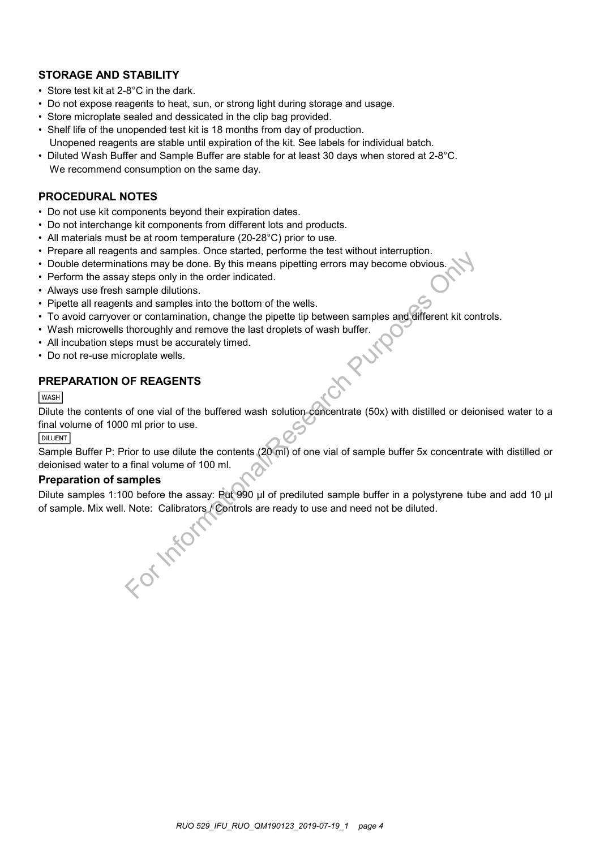# **STORAGE AND STABILITY**

- Store test kit at 2-8°C in the dark.
- Do not expose reagents to heat, sun, or strong light during storage and usage.
- Store microplate sealed and dessicated in the clip bag provided.
- Shelf life of the unopended test kit is 18 months from day of production. Unopened reagents are stable until expiration of the kit. See labels for individual batch.
- Diluted Wash Buffer and Sample Buffer are stable for at least 30 days when stored at 2-8°C. We recommend consumption on the same day.

### **PROCEDURAL NOTES**

- Do not use kit components beyond their expiration dates.
- Do not interchange kit components from different lots and products.
- All materials must be at room temperature (20-28°C) prior to use.
- Prepare all reagents and samples. Once started, performe the test without interruption.
- Double determinations may be done. By this means pipetting errors may become obvious.
- Perform the assay steps only in the order indicated.
- Always use fresh sample dilutions.
- Pipette all reagents and samples into the bottom of the wells.
- To avoid carryover or contamination, change the pipette tip between samples and different kit controls.
- Wash microwells thoroughly and remove the last droplets of wash buffer.
- All incubation steps must be accurately timed.
- Do not re-use microplate wells.

# **PREPARATION OF REAGENTS**

# **WASH**

Dilute the contents of one vial of the buffered wash solution concentrate (50x) with distilled or deionised water to a final volume of 1000 ml prior to use.

#### **DILUENT**

Sample Buffer P: Prior to use dilute the contents (20 ml) of one vial of sample buffer 5x concentrate with distilled or deionised water to a final volume of 100 ml.

### **Preparation of samples**

Dilute samples 1:100 before the assay: Put 990 µl of prediluted sample buffer in a polystyrene tube and add 10 µl Information any please once sareter, permine the test window miterialphorities and samples in the order indicated.<br>
States only in the order indicated.<br>
States and samples into the bottom of the wells.<br>
Is and samples int

of sample. Mix well. Note: Calibrators / Controls are ready to use and need not be diluted.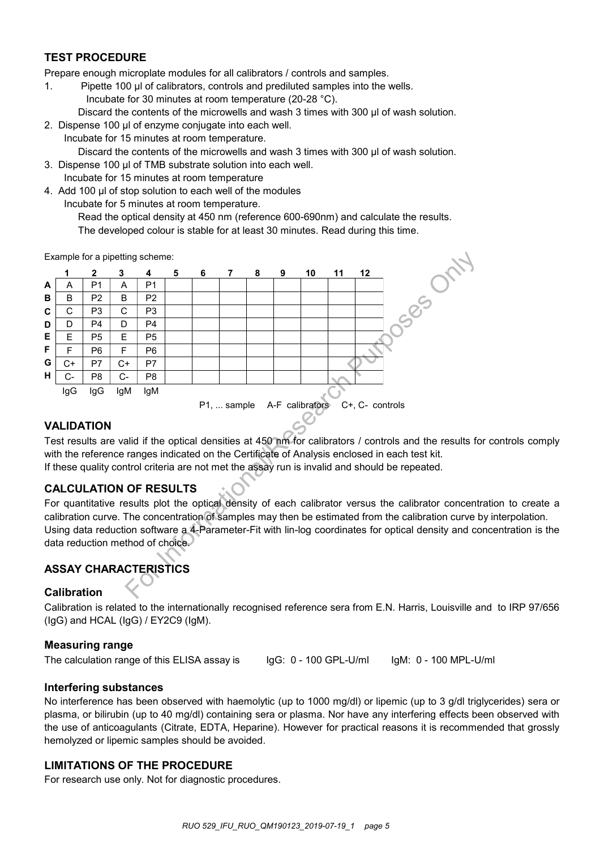# **TEST PROCEDURE**

Prepare enough microplate modules for all calibrators / controls and samples.

- 1. Pipette 100 µl of calibrators, controls and prediluted samples into the wells.
	- Incubate for 30 minutes at room temperature (20-28 °C).
	- Discard the contents of the microwells and wash 3 times with 300 µl of wash solution.
- 2. Dispense 100 μl of enzyme conjugate into each well.
- Incubate for 15 minutes at room temperature. Discard the contents of the microwells and wash 3 times with 300 μl of wash solution.
- 3. Dispense 100 μl of TMB substrate solution into each well. Incubate for 15 minutes at room temperature
- 4. Add 100 μl of stop solution to each well of the modules
	- Incubate for 5 minutes at room temperature.

Read the optical density at 450 nm (reference 600-690nm) and calculate the results. The developed colour is stable for at least 30 minutes. Read during this time.

Example for a pipetting scheme:



# **VALIDATION**

Test results are valid if the optical densities at 450 nm for calibrators / controls and the results for controls comply with the reference ranges indicated on the Certificate of Analysis enclosed in each test kit. If these quality control criteria are not met the assay run is invalid and should be repeated.

# **CALCULATION OF RESULTS**

For quantitative results plot the optical density of each calibrator versus the calibrator concentration to create a calibration curve. The concentration of samples may then be estimated from the calibration curve by interpolation. Using data reduction software a 4-Parameter-Fit with lin-log coordinates for optical density and concentration is the data reduction method of choice.

# **ASSAY CHARACTERISTICS**

# **Calibration**

Calibration is related to the internationally recognised reference sera from E.N. Harris, Louisville and to IRP 97/656 (IgG) and HCAL (IgG) / EY2C9 (IgM).

# **Measuring range**

The calculation range of this ELISA assay is

IgG: 0 - 100 GPL-U/ml

IgM: 0 - 100 MPL-U/ml

# **Interfering substances**

No interference has been observed with haemolytic (up to 1000 mg/dl) or lipemic (up to 3 g/dl triglycerides) sera or plasma, or bilirubin (up to 40 mg/dl) containing sera or plasma. Nor have any interfering effects been observed with the use of anticoagulants (Citrate, EDTA, Heparine). However for practical reasons it is recommended that grossly hemolyzed or lipemic samples should be avoided.

# **LIMITATIONS OF THE PROCEDURE**

For research use only. Not for diagnostic procedures.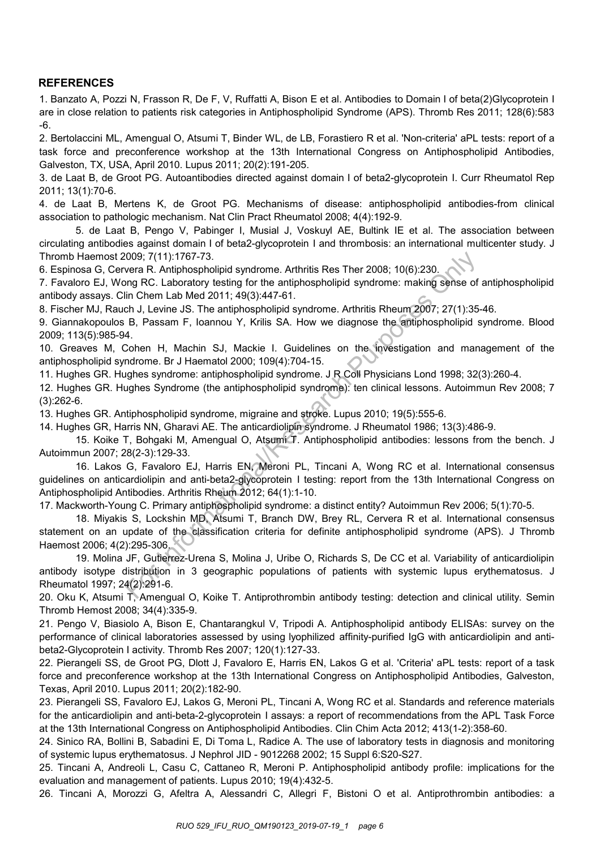# **REFERENCES**

1. Banzato A, Pozzi N, Frasson R, De F, V, Ruffatti A, Bison E et al. Antibodies to Domain I of beta(2)Glycoprotein I are in close relation to patients risk categories in Antiphospholipid Syndrome (APS). Thromb Res 2011; 128(6):583 -6.

2. Bertolaccini ML, Amengual O, Atsumi T, Binder WL, de LB, Forastiero R et al. 'Non-criteria' aPL tests: report of a task force and preconference workshop at the 13th International Congress on Antiphospholipid Antibodies, Galveston, TX, USA, April 2010. Lupus 2011; 20(2):191-205.

3. de Laat B, de Groot PG. Autoantibodies directed against domain I of beta2-glycoprotein I. Curr Rheumatol Rep 2011; 13(1):70-6.

4. de Laat B, Mertens K, de Groot PG. Mechanisms of disease: antiphospholipid antibodies-from clinical association to pathologic mechanism. Nat Clin Pract Rheumatol 2008; 4(4):192-9.

5. de Laat B, Pengo V, Pabinger I, Musial J, Voskuyl AE, Bultink IE et al. The association between circulating antibodies against domain I of beta2-glycoprotein I and thrombosis: an international multicenter study. J Thromb Haemost 2009; 7(11):1767-73.

6. Espinosa G, Cervera R. Antiphospholipid syndrome. Arthritis Res Ther 2008; 10(6):230.

7. Favaloro EJ, Wong RC. Laboratory testing for the antiphospholipid syndrome: making sense of antiphospholipid antibody assays. Clin Chem Lab Med 2011; 49(3):447-61.

8. Fischer MJ, Rauch J, Levine JS. The antiphospholipid syndrome. Arthritis Rheum 2007; 27(1):35-46.

9. Giannakopoulos B, Passam F, Ioannou Y, Krilis SA. How we diagnose the antiphospholipid syndrome. Blood 2009; 113(5):985-94.

10. Greaves M, Cohen H, Machin SJ, Mackie I. Guidelines on the investigation and management of the antiphospholipid syndrome. Br J Haematol 2000; 109(4):704-15.

11. Hughes GR. Hughes syndrome: antiphospholipid syndrome. J R Coll Physicians Lond 1998; 32(3):260-4.

12. Hughes GR. Hughes Syndrome (the antiphospholipid syndrome): ten clinical lessons. Autoimmun Rev 2008; 7 (3):262-6.

13. Hughes GR. Antiphospholipid syndrome, migraine and stroke. Lupus 2010; 19(5):555-6.

14. Hughes GR, Harris NN, Gharavi AE. The anticardiolipin syndrome. J Rheumatol 1986; 13(3):486-9.

15. Koike T, Bohgaki M, Amengual O, Atsumi T. Antiphospholipid antibodies: lessons from the bench. J Autoimmun 2007; 28(2-3):129-33.

16. Lakos G, Favaloro EJ, Harris EN, Meroni PL, Tincani A, Wong RC et al. International consensus guidelines on anticardiolipin and anti-beta2-glycoprotein I testing: report from the 13th International Congress on Antiphospholipid Antibodies. Arthritis Rheum 2012; 64(1):1-10. 009; 7(11):1767-73.<br>
wera R. Antiphospholipid syndrome. Arthritis Res Ther 2008; 10(6):230.<br>
ong RC. Laboratory testing for the antiphospholipid syndrome: making sense of<br>
in Chem Lab Med 2011; 49(3):447-61.<br>
ch, J. Lewine

17. Mackworth-Young C. Primary antiphospholipid syndrome: a distinct entity? Autoimmun Rev 2006; 5(1):70-5.

18. Miyakis S, Lockshin MD, Atsumi T, Branch DW, Brey RL, Cervera R et al. International consensus statement on an update of the classification criteria for definite antiphospholipid syndrome (APS). J Thromb Haemost 2006; 4(2):295-306.

19. Molina JF, Gutierrez-Urena S, Molina J, Uribe O, Richards S, De CC et al. Variability of anticardiolipin antibody isotype distribution in 3 geographic populations of patients with systemic lupus erythematosus. J Rheumatol 1997; 24(2):291-6.

20. Oku K, Atsumi T, Amengual O, Koike T. Antiprothrombin antibody testing: detection and clinical utility. Semin Thromb Hemost 2008; 34(4):335-9.

21. Pengo V, Biasiolo A, Bison E, Chantarangkul V, Tripodi A. Antiphospholipid antibody ELISAs: survey on the performance of clinical laboratories assessed by using lyophilized affinity-purified IgG with anticardiolipin and antibeta2-Glycoprotein I activity. Thromb Res 2007; 120(1):127-33.

22. Pierangeli SS, de Groot PG, Dlott J, Favaloro E, Harris EN, Lakos G et al. 'Criteria' aPL tests: report of a task force and preconference workshop at the 13th International Congress on Antiphospholipid Antibodies, Galveston, Texas, April 2010. Lupus 2011; 20(2):182-90.

23. Pierangeli SS, Favaloro EJ, Lakos G, Meroni PL, Tincani A, Wong RC et al. Standards and reference materials for the anticardiolipin and anti-beta-2-glycoprotein I assays: a report of recommendations from the APL Task Force at the 13th International Congress on Antiphospholipid Antibodies. Clin Chim Acta 2012; 413(1-2):358-60.

24. Sinico RA, Bollini B, Sabadini E, Di Toma L, Radice A. The use of laboratory tests in diagnosis and monitoring of systemic lupus erythematosus. J Nephrol JID - 9012268 2002; 15 Suppl 6:S20-S27.

25. Tincani A, Andreoli L, Casu C, Cattaneo R, Meroni P. Antiphospholipid antibody profile: implications for the evaluation and management of patients. Lupus 2010; 19(4):432-5.

26. Tincani A, Morozzi G, Afeltra A, Alessandri C, Allegri F, Bistoni O et al. Antiprothrombin antibodies: a